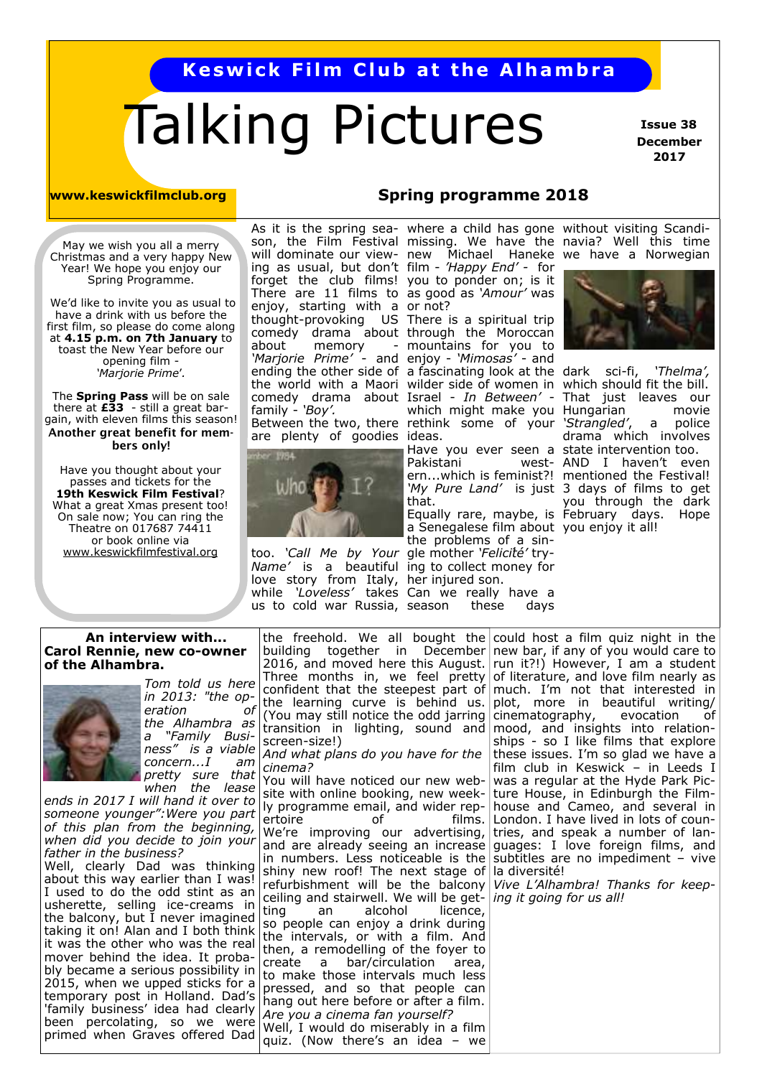# **Keswick Film Club at the Alhambra**

# Talking Pictures

 **Issue 38 December 2017** 

**www.keswickfilmclub.org Spring programme 2018** 

May we wish you all a merry Christmas and a very happy New Year! We hope you enjoy our Spring Programme.

 We'd like to invite you as usual to have a drink with us before the first film, so please do come along at **4.15 p.m. on 7th January** to toast the New Year before our opening film - *'Marjorie Prime*'*.* 

The **Spring Pass** will be on sale there at **£33** - still a great bargain, with eleven films this season! **Another great benefit for members only!** 

Have you thought about your passes and tickets for the **19th Keswick Film Festival**? What a great Xmas present too! On sale now; You can ring the Theatre on 017687 74411 or book online via www.keswickfilmfestival.org

ing as usual, but don't film - *'Happy End' -* for forget the club films! There are 11 films to enjoy, starting with a or not? about memory family - *'Boy'.*  are plenty of goodies

too. *'Call Me by Your*  gle mother *'Felicit́é'* try-*Name'* is a beautiful ing to collect money for love story from Italy, her injured son. while *'Loveless'* takes Can we really have a us to cold war Russia, season these days

you to ponder on; is it as good as *'Amour'* was

thought-provoking US There is a spiritual trip comedy drama about through the Moroccan *'Marjorie Prime'* - and enjoy - *'Mimosas'* - and ending the other side of a fascinating look at the dark sci-fi, *'Thelma',*  the world with a Maori wilder side of women in which should fit the bill. comedy drama about Israel - *In Between'* - That just leaves our Between the two, there rethink some of your *'Strangled'*, a police mountains for you to which might make you Hungarian movie ideas.

Have you ever seen a state intervention too. Pakistani ern...which is feminist?! mentioned the Festival! *'My Pure Land'* is just 3 days of films to get that.

Equally rare, maybe, is February days. Hope a Senegalese film about you enjoy it all! the problems of a sin-

As it is the spring sea-where a child has gone without visiting Scandison, the Film Festival missing. We have the navia? Well this time will dominate our view-new Michael Haneke we have a Norwegian



drama which involves west- AND I haven't even you through the dark

#### **An interview with... Carol Rennie, new co-owner of the Alhambra.**



*Tom told us here in 2013: "the operation of the Alhambra as a "Family Business" is a viable concern...I am pretty sure that when the lease* 

*ends in 2017 I will hand it over to someone younger":Were you part of this plan from the beginning, when did you decide to join your father in the business?*

Well, clearly Dad was thinking about this way earlier than I was! I used to do the odd stint as an usherette, selling ice-creams in the balcony, but I never imagined taking it on! Alan and I both think it was the other who was the real mover behind the idea. It probably became a serious possibility in 2015, when we upped sticks for a temporary post in Holland. Dad's 'family business' idea had clearly been percolating, so we were primed when Graves offered Dad

the freehold. We all bought the could host a film quiz night in the building together in December new bar, if any of you would care to 2016, and moved here this August. run it?!) However, I am a student Three months in, we feel pretty of literature, and love film nearly as confident that the steepest part of the learning curve is behind us. (You may still notice the odd jarring cinematography, evocation of transition in lighting, sound and screen-size!) *And what plans do you have for the cinema?* You will have noticed our new website with online booking, new week-

ly programme email, and wider rep-<br>ertoire of films. ertoire of films. We're improving our advertising, and are already seeing an increase in numbers. Less noticeable is the shiny new roof! The next stage of la diversité! refurbishment will be the balcony ceiling and stairwell. We will be get-*ing it going for us all!* ting an alcohol licence, so people can enjoy a drink during the intervals, or with a film. And then, a remodelling of the foyer to create a bar/circulation area, to make those intervals much less pressed, and so that people can hang out here before or after a film. *Are you a cinema fan yourself?* Well, I would do miserably in a film quiz. (Now there's an idea – we

much. I'm not that interested in plot, more in beautiful writing/ mood, and insights into relationships - so I like films that explore these issues. I'm so glad we have a film club in Keswick – in Leeds I was a regular at the Hyde Park Picture House, in Edinburgh the Filmhouse and Cameo, and several in London. I have lived in lots of countries, and speak a number of languages: I love foreign films, and subtitles are no impediment – vive

*Vive L'Alhambra! Thanks for keep-*